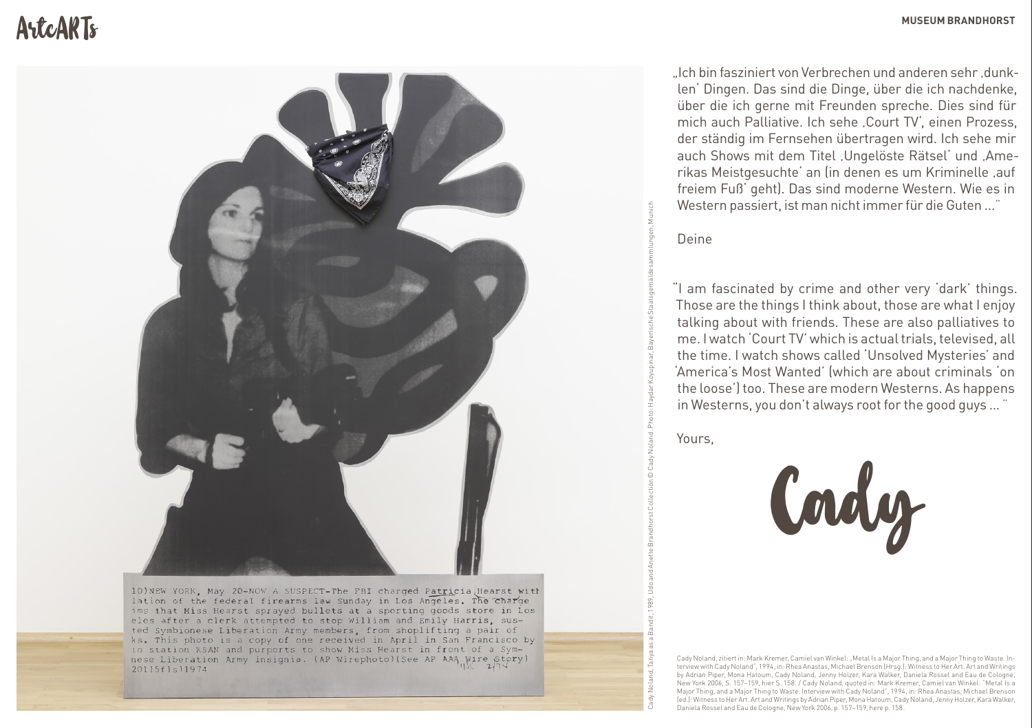# ArtcARTs **MUSEUM BRANDHORST**



10) NEW YORK, May 20-NOW A SUSPECT-The FBI charged Patricia Hearst with lation of the federal firearms law Sunday in Los Angeles. The Charge ims that Miss Hearst sprayed bullets at a sporting goods store in Los eles after a clerk attempted to stop William and Emily Harris, susted Symbionese Liberation Army members, from shoplifting a pair of ks. This photo is a copy of one received in April in San Francisco by io station KSAN and purports to show Miss Hearst in front of a Symnese Liberation Army insignia. (AP Wirephoto) (See AP AAA Wire Story)  $20115f1s11974$ 

"Ich bin fasziniert von Verbrechen und anderen sehr, dunklen' Dingen. Das sind die Dinge, über die ich nachdenke, über die ich gerne mit Freunden spreche. Dies sind für mich auch Palliative. Ich sehe Court TV', einen Prozess, der ständig im Fernsehen übertragen wird. Ich sehe mir auch Shows mit dem Titel , Ungelöste Rätsel' und , Amerikas Meistgesuchte' an (in denen es um Kriminelle, auf freiem Fuß' geht). Das sind moderne Western. Wie es in Western passiert, ist man nicht immer für die Guten ... "

Deine

"I am fascinated by crime and other very 'dark' things. Those are the things I think about, those are what I enjoy talking about with friends. These are also palliatives to me. I watch 'Court TV' which is actual trials, televised, all the time. I watch shows called 'Unsolved Mysteries' and 'America's Most Wanted' (which are about criminals 'on the loose') too. These are modern Westerns. As happens in Westerns, you don't always root for the good guys … "

Yours,

Cady Noland, Tanya as a Bandit, 1989, Udo and Anette Brandhorst Collection © Cady Noland. Photo: Haydar Koyupinar, Bayerische Staatsgemäldesammlungen, Munich



Cady Noland, zitiert in: Mark Kremer, Camiel van Winkel: "Metal Is a Major Thing, and a Major Thing to Waste. Interview with Cady Noland", 1994, in: Rhea Anastas, Michael Brenson (Hrsg.): Witness to Her Art. Art and Writings by Adrian Piper, Mona Hatoum, Cady Noland, Jenny Holzer, Kara Walker, Daniela Rossel and Eau de Cologne, New York 2006, S. 157–159, hier S. 158. / Cady Noland, quoted in: Mark Kremer, Camiel van Winkel: "Metal Is a Major Thing, and a Major Thing to Waste. Interview with Cady Noland", 1994, in: Rhea Anastas, Michael Brenson (ed.): Witness to Her Art. Art and Writings by Adrian Piper, Mona Hatoum, Cady Noland, Jenny Holzer, Kara Walker, Daniela Rossel and Eau de Cologne, New York 2006, p. 157–159, here p. 158.